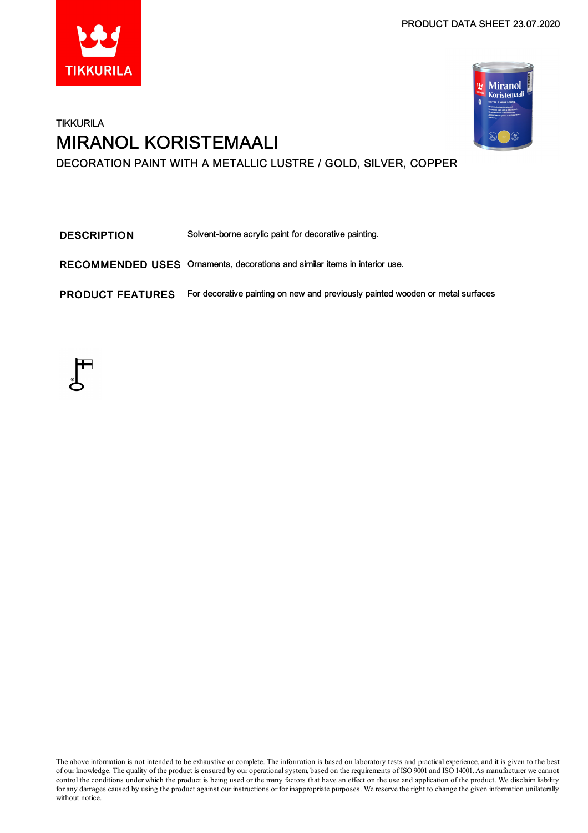



# **TIKKURILA** MIRANOL KORISTEMAALI DECORATION PAINT WITH A METALLIC LUSTRE / GOLD, SILVER, COPPER

DESCRIPTION Solvent-borne acrylic paint for decorative painting.

RECOMMENDED USES Ornaments, decorations and similar items in interior use.

PRODUCT FEATURES For decorative painting on new and previously painted wooden or metal surfaces



The above information is not intended to be exhaustive or complete. The information is based on laboratory tests and practical experience, and it is given to the best of our knowledge. The quality of the product is ensured by our operationalsystem, based on the requirements of ISO9001 and ISO14001.As manufacturer we cannot control the conditions under which the product is being used or the many factors that have an effect on the use and application of the product. We disclaimliability forany damages caused by using the product against our instructions or for inappropriate purposes. We reserve the right to change the given information unilaterally without notice.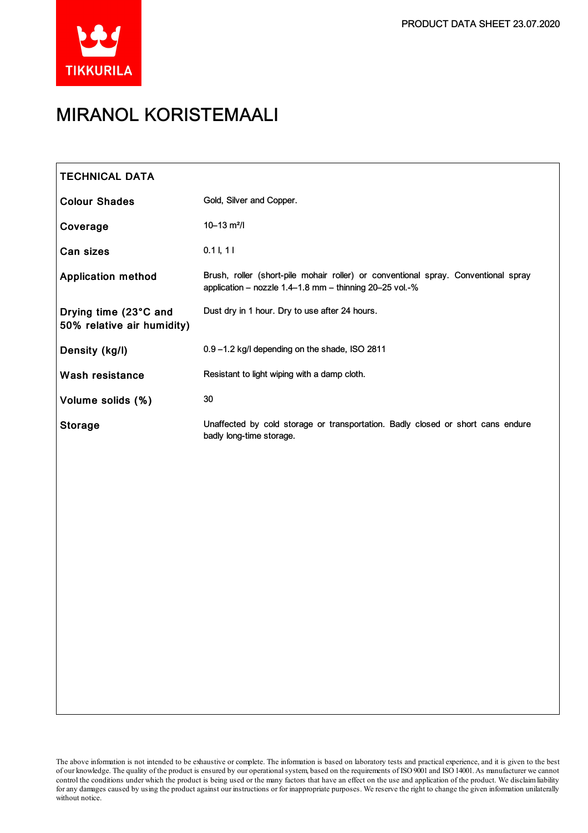

# MIRANOL KORISTEMAALI

| <b>TECHNICAL DATA</b>                               |                                                                                                                                               |
|-----------------------------------------------------|-----------------------------------------------------------------------------------------------------------------------------------------------|
| <b>Colour Shades</b>                                | Gold, Silver and Copper.                                                                                                                      |
| Coverage                                            | $10 - 13$ m <sup>2</sup> /l                                                                                                                   |
| Can sizes                                           | $0.1$ I, 11                                                                                                                                   |
| <b>Application method</b>                           | Brush, roller (short-pile mohair roller) or conventional spray. Conventional spray<br>application - nozzle 1.4-1.8 mm - thinning 20-25 vol.-% |
| Drying time (23°C and<br>50% relative air humidity) | Dust dry in 1 hour. Dry to use after 24 hours.                                                                                                |
| Density (kg/l)                                      | 0.9-1.2 kg/l depending on the shade, ISO 2811                                                                                                 |
| <b>Wash resistance</b>                              | Resistant to light wiping with a damp cloth.                                                                                                  |
| Volume solids (%)                                   | 30                                                                                                                                            |
| <b>Storage</b>                                      | Unaffected by cold storage or transportation. Badly closed or short cans endure<br>badly long-time storage.                                   |
|                                                     |                                                                                                                                               |
|                                                     |                                                                                                                                               |
|                                                     |                                                                                                                                               |
|                                                     |                                                                                                                                               |

The above information is not intended to be exhaustive or complete. The information is based on laboratory tests and practical experience, and it is given to the best of our knowledge. The quality of the product is ensured by our operationalsystem, based on the requirements of ISO9001 and ISO14001.As manufacturer we cannot control the conditions under which the product is being used or the many factors that have an effect on the use and application of the product. We disclaimliability forany damages caused by using the product against our instructions or for inappropriate purposes. We reserve the right to change the given information unilaterally without notice.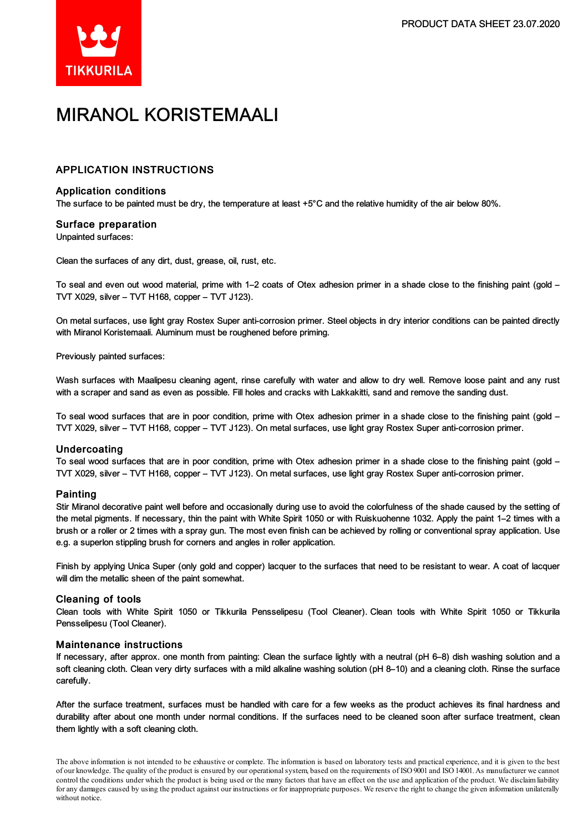

# MIRANOL KORISTEMAALI

# APPLICATION INSTRUCTIONS

### Application conditions

The surface to be painted must be dry, the temperature at least +5°C and the relative humidity of the air below 80%.

### Surface preparation

Unpainted surfaces:

Clean the surfaces of any dirt, dust, grease, oil, rust, etc.

To seal and even out wood material, prime with 1–2 coats of Otex adhesion primer in a shade close to the finishing paint (gold – TVT X029, silver – TVT H168, copper – TVT J123).

On metal surfaces, use light gray Rostex Super anti-corrosion primer. Steel objects in dry interior conditions can be painted directly with Miranol Koristemaali. Aluminum must be roughened before priming.

Previously painted surfaces:

Wash surfaces with Maalipesu cleaning agent, rinse carefully with water and allow to dry well. Remove loose paint and any rust with a scraper and sand as even as possible. Fill holes and cracks with Lakkakitti, sand and remove the sanding dust.

To seal wood surfaces that are in poor condition, prime with Otex adhesion primer in a shade close to the finishing paint (gold – TVT X029, silver – TVT H168, copper – TVT J123). On metalsurfaces, use light gray Rostex Super anti-corrosion primer.

#### Undercoating

To seal wood surfaces that are in poor condition, prime with Otex adhesion primer in a shade close to the finishing paint (gold – TVT X029, silver – TVT H168, copper – TVT J123). On metalsurfaces, use light gray Rostex Super anti-corrosion primer.

### Painting

Stir Miranol decorative paint well before and occasionally during use to avoid the colorfulness of the shade caused by the setting of the metal pigments. If necessary, thin the paint with White Spirit 1050 or with Ruiskuohenne 1032. Apply the paint 1–2 times with a brush or a roller or 2 times with a spray gun. The most even finish can be achieved by rolling or conventional spray application. Use e.g. a superlon stippling brush for corners and angles in roller application.

Finish by applying Unica Super (only gold and copper) lacquer to the surfaces that need to be resistant to wear. A coat of lacquer will dim the metallic sheen of the paint somewhat.

#### Cleaning of tools

Clean tools with White Spirit 1050 or Tikkurila Pensselipesu (Tool Cleaner). Clean tools with White Spirit 1050 or Tikkurila Pensselipesu (Tool Cleaner).

#### Maintenance instructions

If necessary, after approx. one month from painting: Clean the surface lightly with a neutral (pH 6–8) dish washing solution and a soft cleaning cloth. Clean very dirty surfaces with a mild alkaline washing solution (pH 8–10) and a cleaning cloth. Rinse the surface carefully.

After the surface treatment, surfaces must be handled with care for a few weeks as the product achieves its final hardness and durability after about one month under normal conditions. If the surfaces need to be cleaned soon after surface treatment, clean them lightly with a soft cleaning cloth.

The above information is not intended to be exhaustive or complete. The information is based on laboratory tests and practical experience, and it is given to the best of our knowledge. The quality of the product is ensured by our operationalsystem, based on the requirements of ISO9001 and ISO14001.As manufacturer we cannot control the conditions under which the product is being used or the many factors that have an effect on the use and application of the product. We disclaimliability forany damages caused by using the product against our instructions or for inappropriate purposes. We reserve the right to change the given information unilaterally without notice.